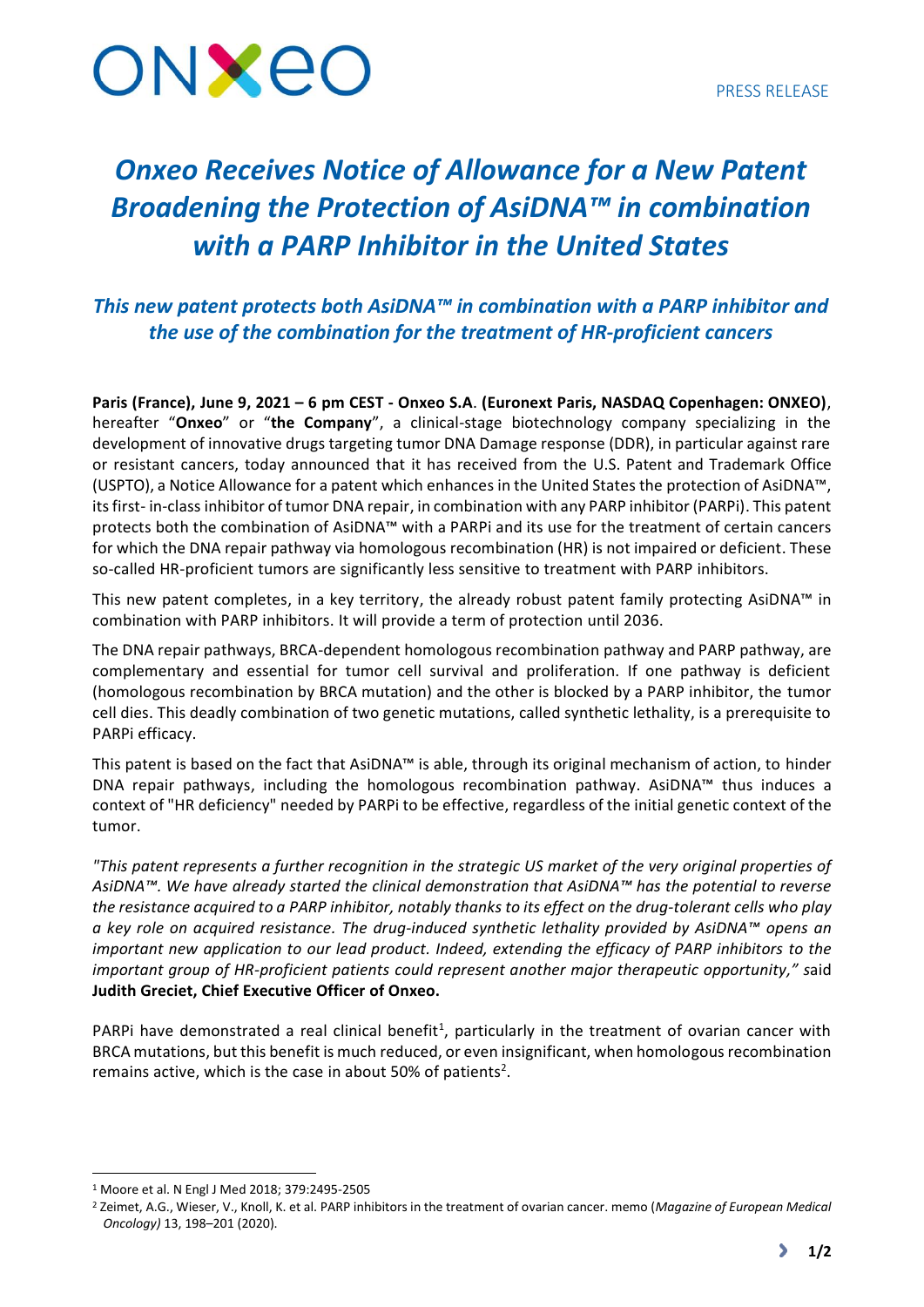

# *Onxeo Receives Notice of Allowance for a New Patent Broadening the Protection of AsiDNA™ in combination with a PARP Inhibitor in the United States*

## *This new patent protects both AsiDNA™ in combination with a PARP inhibitor and the use of the combination for the treatment of HR-proficient cancers*

**Paris (France), June 9, 2021 – 6 pm CEST - Onxeo S.A**. **(Euronext Paris, NASDAQ Copenhagen: ONXEO)**, hereafter "**Onxeo**" or "**the Company**", a clinical-stage biotechnology company specializing in the development of innovative drugs targeting tumor DNA Damage response (DDR), in particular against rare or resistant cancers, today announced that it has received from the U.S. Patent and Trademark Office (USPTO), a Notice Allowance for a patent which enhances in the United States the protection of AsiDNA™, its first- in-class inhibitor of tumor DNA repair, in combination with any PARP inhibitor (PARPi). This patent protects both the combination of AsiDNA™ with a PARPi and its use for the treatment of certain cancers for which the DNA repair pathway via homologous recombination (HR) is not impaired or deficient. These so-called HR-proficient tumors are significantly less sensitive to treatment with PARP inhibitors.

This new patent completes, in a key territory, the already robust patent family protecting AsiDNA™ in combination with PARP inhibitors. It will provide a term of protection until 2036.

The DNA repair pathways, BRCA-dependent homologous recombination pathway and PARP pathway, are complementary and essential for tumor cell survival and proliferation. If one pathway is deficient (homologous recombination by BRCA mutation) and the other is blocked by a PARP inhibitor, the tumor cell dies. This deadly combination of two genetic mutations, called synthetic lethality, is a prerequisite to PARPi efficacy.

This patent is based on the fact that AsiDNA™ is able, through its original mechanism of action, to hinder DNA repair pathways, including the homologous recombination pathway. AsiDNA™ thus induces a context of "HR deficiency" needed by PARPi to be effective, regardless of the initial genetic context of the tumor.

*"This patent represents a further recognition in the strategic US market of the very original properties of AsiDNA™. We have already started the clinical demonstration that AsiDNA™ has the potential to reverse the resistance acquired to a PARP inhibitor, notably thanks to its effect on the drug-tolerant cells who play a key role on acquired resistance. The drug-induced synthetic lethality provided by AsiDNA™ opens an important new application to our lead product. Indeed, extending the efficacy of PARP inhibitors to the important group of HR-proficient patients could represent another major therapeutic opportunity," s*aid **Judith Greciet, Chief Executive Officer of Onxeo.**

PARPi have demonstrated a real clinical benefit<sup>1</sup>, particularly in the treatment of ovarian cancer with BRCA mutations, but this benefit is much reduced, or even insignificant, when homologous recombination remains active, which is the case in about 50% of patients<sup>2</sup>.

<sup>1</sup> Moore et al. N Engl J Med 2018; 379:2495-2505

<sup>2</sup> Zeimet, A.G., Wieser, V., Knoll, K. et al. PARP inhibitors in the treatment of ovarian cancer. memo (*Magazine of European Medical Oncology)* 13, 198–201 (2020).